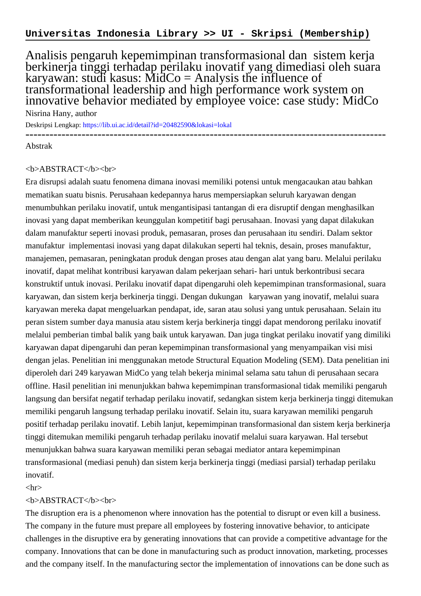Analisis pengaruh kepemimpinan transformasional dan sistem kerja berkinerja tinggi terhadap perilaku inovatif yang dimediasi oleh suara karyawan: studi kasus: MidCo = Analysis the influence of transformational leadership and high performance work system on innovative behavior mediated by employee voice: case study: MidCo

Nisrina Hany, author Deskripsi Lengkap:<https://lib.ui.ac.id/detail?id=20482590&lokasi=lokal> ------------------------------------------------------------------------------------------

Abstrak

## <b>ABSTRACT</b><br>

Era disrupsi adalah suatu fenomena dimana inovasi memiliki potensi untuk mengacaukan atau bahkan mematikan suatu bisnis. Perusahaan kedepannya harus mempersiapkan seluruh karyawan dengan menumbuhkan perilaku inovatif, untuk mengantisipasi tantangan di era disruptif dengan menghasilkan inovasi yang dapat memberikan keunggulan kompetitif bagi perusahaan. Inovasi yang dapat dilakukan dalam manufaktur seperti inovasi produk, pemasaran, proses dan perusahaan itu sendiri. Dalam sektor manufaktur implementasi inovasi yang dapat dilakukan seperti hal teknis, desain, proses manufaktur, manajemen, pemasaran, peningkatan produk dengan proses atau dengan alat yang baru. Melalui perilaku inovatif, dapat melihat kontribusi karyawan dalam pekerjaan sehari- hari untuk berkontribusi secara konstruktif untuk inovasi. Perilaku inovatif dapat dipengaruhi oleh kepemimpinan transformasional, suara karyawan, dan sistem kerja berkinerja tinggi. Dengan dukungan karyawan yang inovatif, melalui suara karyawan mereka dapat mengeluarkan pendapat, ide, saran atau solusi yang untuk perusahaan. Selain itu peran sistem sumber daya manusia atau sistem kerja berkinerja tinggi dapat mendorong perilaku inovatif melalui pemberian timbal balik yang baik untuk karyawan. Dan juga tingkat perilaku inovatif yang dimiliki karyawan dapat dipengaruhi dan peran kepemimpinan transformasional yang menyampaikan visi misi dengan jelas. Penelitian ini menggunakan metode Structural Equation Modeling (SEM). Data penelitian ini diperoleh dari 249 karyawan MidCo yang telah bekerja minimal selama satu tahun di perusahaan secara offline. Hasil penelitian ini menunjukkan bahwa kepemimpinan transformasional tidak memiliki pengaruh langsung dan bersifat negatif terhadap perilaku inovatif, sedangkan sistem kerja berkinerja tinggi ditemukan memiliki pengaruh langsung terhadap perilaku inovatif. Selain itu, suara karyawan memiliki pengaruh positif terhadap perilaku inovatif. Lebih lanjut, kepemimpinan transformasional dan sistem kerja berkinerja tinggi ditemukan memiliki pengaruh terhadap perilaku inovatif melalui suara karyawan. Hal tersebut menunjukkan bahwa suara karyawan memiliki peran sebagai mediator antara kepemimpinan transformasional (mediasi penuh) dan sistem kerja berkinerja tinggi (mediasi parsial) terhadap perilaku inovatif.

 $\langle$ hr $>$ 

## <b>ABSTRACT</b><br>

The disruption era is a phenomenon where innovation has the potential to disrupt or even kill a business. The company in the future must prepare all employees by fostering innovative behavior, to anticipate challenges in the disruptive era by generating innovations that can provide a competitive advantage for the company. Innovations that can be done in manufacturing such as product innovation, marketing, processes and the company itself. In the manufacturing sector the implementation of innovations can be done such as